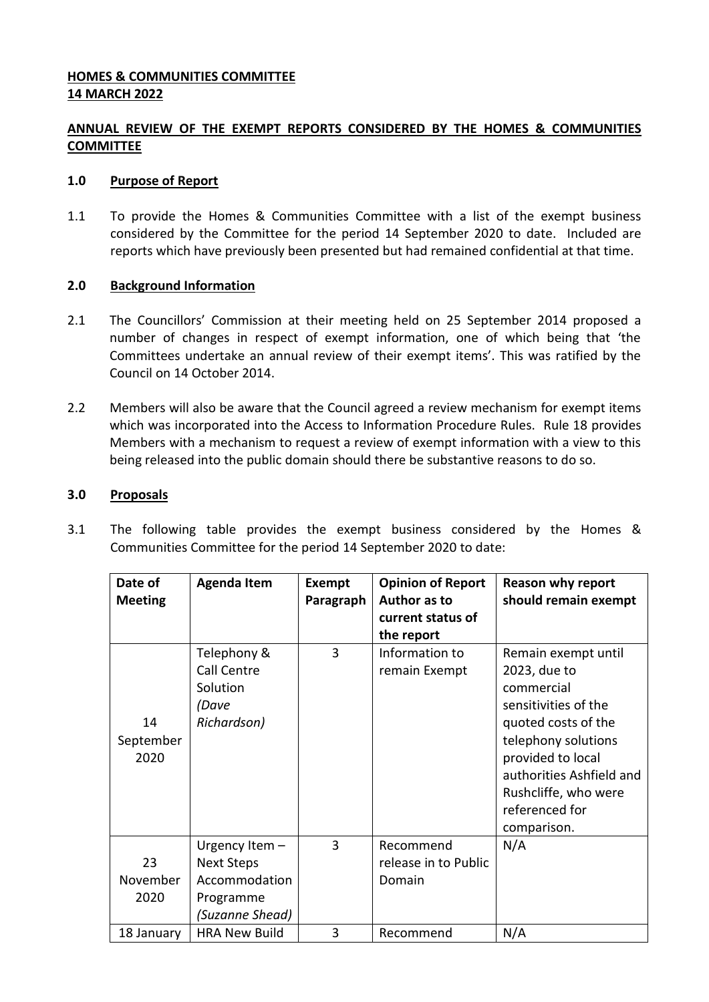## **HOMES & COMMUNITIES COMMITTEE 14 MARCH 2022**

# **ANNUAL REVIEW OF THE EXEMPT REPORTS CONSIDERED BY THE HOMES & COMMUNITIES COMMITTEE**

### **1.0 Purpose of Report**

1.1 To provide the Homes & Communities Committee with a list of the exempt business considered by the Committee for the period 14 September 2020 to date. Included are reports which have previously been presented but had remained confidential at that time.

### **2.0 Background Information**

- 2.1 The Councillors' Commission at their meeting held on 25 September 2014 proposed a number of changes in respect of exempt information, one of which being that 'the Committees undertake an annual review of their exempt items'. This was ratified by the Council on 14 October 2014.
- 2.2 Members will also be aware that the Council agreed a review mechanism for exempt items which was incorporated into the Access to Information Procedure Rules. Rule 18 provides Members with a mechanism to request a review of exempt information with a view to this being released into the public domain should there be substantive reasons to do so.

### **3.0 Proposals**

| Date of<br><b>Meeting</b> | <b>Agenda Item</b>                                                                   | Exempt<br>Paragraph | <b>Opinion of Report</b><br>Author as to<br>current status of<br>the report | <b>Reason why report</b><br>should remain exempt                                                                                                                                                                                  |
|---------------------------|--------------------------------------------------------------------------------------|---------------------|-----------------------------------------------------------------------------|-----------------------------------------------------------------------------------------------------------------------------------------------------------------------------------------------------------------------------------|
| 14<br>September<br>2020   | Telephony &<br>Call Centre<br>Solution<br>(Dave<br>Richardson)                       | 3                   | Information to<br>remain Exempt                                             | Remain exempt until<br>2023, due to<br>commercial<br>sensitivities of the<br>quoted costs of the<br>telephony solutions<br>provided to local<br>authorities Ashfield and<br>Rushcliffe, who were<br>referenced for<br>comparison. |
| 23<br>November<br>2020    | Urgency Item -<br><b>Next Steps</b><br>Accommodation<br>Programme<br>(Suzanne Shead) | 3                   | Recommend<br>release in to Public<br>Domain                                 | N/A                                                                                                                                                                                                                               |
| 18 January                | <b>HRA New Build</b>                                                                 | 3                   | Recommend                                                                   | N/A                                                                                                                                                                                                                               |

3.1 The following table provides the exempt business considered by the Homes & Communities Committee for the period 14 September 2020 to date: